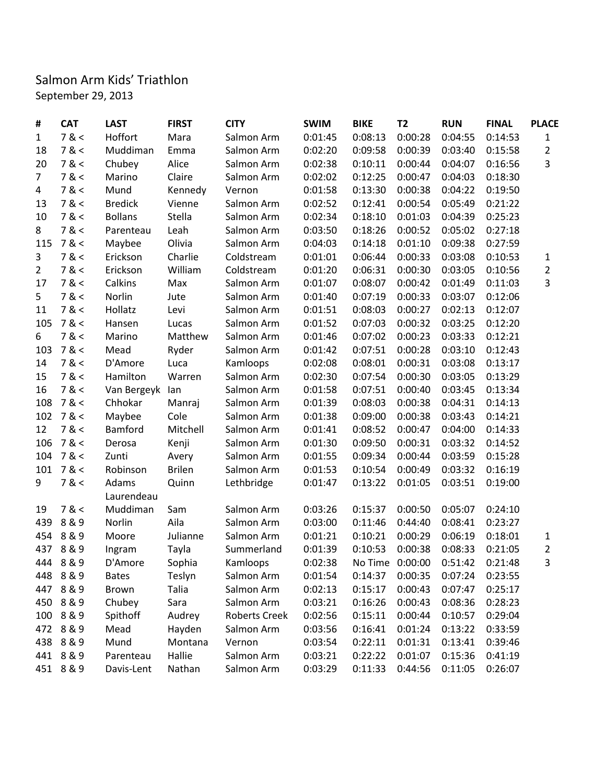## Salmon Arm Kids' Triathlon September 29, 2013

| #              | <b>CAT</b> | <b>LAST</b>    | <b>FIRST</b>  | <b>CITY</b>   | <b>SWIM</b> | <b>BIKE</b> | <b>T2</b> | <b>RUN</b>                      | <b>FINAL</b> | <b>PLACE</b>   |
|----------------|------------|----------------|---------------|---------------|-------------|-------------|-----------|---------------------------------|--------------|----------------|
| $\mathbf{1}$   | 7 <        | Hoffort        | Mara          | Salmon Arm    | 0:01:45     | 0:08:13     | 0:00:28   | 0:04:55                         | 0:14:53      | $\mathbf{1}$   |
| 18             | 7 <        | Muddiman       | Emma          | Salmon Arm    | 0:02:20     | 0:09:58     | 0:00:39   | 0:03:40                         | 0:15:58      | $\overline{2}$ |
| 20             | 7 <        | Chubey         | Alice         | Salmon Arm    | 0:02:38     | 0:10:11     | 0:00:44   | 0:04:07                         | 0:16:56      | $\overline{3}$ |
| $\overline{7}$ | 7 <        | Marino         | Claire        | Salmon Arm    | 0:02:02     | 0:12:25     | 0:00:47   | 0:04:03                         | 0:18:30      |                |
| 4              | 7 <        | Mund           | Kennedy       | Vernon        | 0:01:58     | 0:13:30     | 0:00:38   | 0:04:22                         | 0:19:50      |                |
| 13             | 7 <        | <b>Bredick</b> | Vienne        | Salmon Arm    | 0:02:52     | 0:12:41     | 0:00:54   | 0:05:49                         | 0:21:22      |                |
| 10             | 7 <        | <b>Bollans</b> | Stella        | Salmon Arm    | 0:02:34     | 0:18:10     | 0:01:03   | 0:04:39                         | 0:25:23      |                |
| 8              | 7 <        | Parenteau      | Leah          | Salmon Arm    | 0:03:50     | 0:18:26     | 0:00:52   | 0:05:02                         | 0:27:18      |                |
| 115            | 7 <        | Maybee         | Olivia        | Salmon Arm    | 0:04:03     | 0:14:18     | 0:01:10   | 0:09:38                         | 0:27:59      |                |
| 3              | 7 <        | Erickson       | Charlie       | Coldstream    | 0:01:01     | 0:06:44     | 0:00:33   | 0:03:08                         | 0:10:53      | $\mathbf{1}$   |
| $\overline{2}$ | 7 <        | Erickson       | William       | Coldstream    | 0:01:20     | 0:06:31     | 0:00:30   | 0:03:05                         | 0:10:56      | $\overline{2}$ |
| 17             | 7 <        | Calkins        | Max           | Salmon Arm    | 0:01:07     | 0:08:07     | 0:00:42   | 0:01:49                         | 0:11:03      | 3              |
| 5              | 7 <        | Norlin         | Jute          | Salmon Arm    | 0:01:40     | 0:07:19     | 0:00:33   | 0:03:07                         | 0:12:06      |                |
| 11             | 7 <        | Hollatz        | Levi          | Salmon Arm    | 0:01:51     | 0:08:03     | 0:00:27   | 0:02:13                         | 0:12:07      |                |
| 105            | 7 <        | Hansen         | Lucas         | Salmon Arm    | 0:01:52     | 0:07:03     | 0:00:32   | 0:03:25                         | 0:12:20      |                |
| 6              | 7 <        | Marino         | Matthew       | Salmon Arm    | 0:01:46     | 0:07:02     | 0:00:23   | 0:03:33                         | 0:12:21      |                |
| 103            | 7 <        | Mead           | Ryder         | Salmon Arm    | 0:01:42     | 0:07:51     | 0:00:28   | 0:03:10                         | 0:12:43      |                |
| 14             | 7 <        | D'Amore        | Luca          | Kamloops      | 0:02:08     | 0:08:01     | 0:00:31   | 0:03:08                         | 0:13:17      |                |
| 15             | 7 <        | Hamilton       | Warren        | Salmon Arm    | 0:02:30     | 0:07:54     | 0:00:30   | 0:03:05                         | 0:13:29      |                |
| 16             | 7 <        | Van Bergeyk    | lan           | Salmon Arm    | 0:01:58     | 0:07:51     | 0:00:40   | 0:03:45                         | 0:13:34      |                |
| 108            | 7 <        | Chhokar        | Manraj        | Salmon Arm    | 0:01:39     | 0:08:03     | 0:00:38   | 0:04:31                         | 0:14:13      |                |
| 102            | 7 <        | Maybee         | Cole          | Salmon Arm    | 0:01:38     | 0:09:00     | 0:00:38   | 0:03:43                         | 0:14:21      |                |
| 12             | 7 <        | Bamford        | Mitchell      | Salmon Arm    | 0:01:41     | 0:08:52     | 0:00:47   | 0:04:00                         | 0:14:33      |                |
| 106            | 7 <        | Derosa         | Kenji         | Salmon Arm    | 0:01:30     | 0:09:50     | 0:00:31   | 0:03:32                         | 0:14:52      |                |
| 104            | 7 <        | Zunti          | Avery         | Salmon Arm    | 0:01:55     | 0:09:34     | 0:00:44   | 0:03:59                         | 0:15:28      |                |
| 101            | 7 <        | Robinson       | <b>Brilen</b> | Salmon Arm    | 0:01:53     | 0:10:54     | 0:00:49   | 0:03:32                         | 0:16:19      |                |
| 9              | 7 <        | Adams          | Quinn         | Lethbridge    | 0:01:47     | 0:13:22     | 0:01:05   | 0:03:51                         | 0:19:00      |                |
|                |            | Laurendeau     |               |               |             |             |           |                                 |              |                |
| 19             | 7 <        | Muddiman       | Sam           | Salmon Arm    | 0:03:26     | 0:15:37     | 0:00:50   | 0:05:07                         | 0:24:10      |                |
| 439            | 8 & 9      | Norlin         | Aila          | Salmon Arm    | 0:03:00     | 0:11:46     | 0:44:40   | 0:08:41                         | 0:23:27      |                |
| 454            | 8&9        | Moore          | Julianne      | Salmon Arm    | 0:01:21     | 0:10:21     | 0:00:29   | 0:06:19                         | 0:18:01      | $\mathbf{1}$   |
|                | 437 8 & 9  | Ingram         | Tayla         | Summerland    | 0:01:39     | 0:10:53     | 0:00:38   | 0:08:33                         | 0:21:05      | $\overline{2}$ |
|                | 444 8 & 9  | D'Amore        | Sophia        | Kamloops      | 0:02:38     |             |           | No Time 0:00:00 0:51:42 0:21:48 |              | 3              |
|                | 448 8 & 9  | <b>Bates</b>   | Teslyn        | Salmon Arm    | 0:01:54     | 0:14:37     | 0:00:35   | 0:07:24                         | 0:23:55      |                |
|                | 447 8 & 9  | Brown          | Talia         | Salmon Arm    | 0:02:13     | 0:15:17     | 0:00:43   | 0:07:47                         | 0:25:17      |                |
|                | 450 8 & 9  | Chubey         | Sara          | Salmon Arm    | 0:03:21     | 0:16:26     | 0:00:43   | 0:08:36                         | 0:28:23      |                |
| 100            | 8&9        | Spithoff       | Audrey        | Roberts Creek | 0:02:56     | 0:15:11     | 0:00:44   | 0:10:57                         | 0:29:04      |                |
|                | 472 8 & 9  | Mead           | Hayden        | Salmon Arm    | 0:03:56     | 0:16:41     | 0:01:24   | 0:13:22                         | 0:33:59      |                |
|                | 438 8 & 9  | Mund           | Montana       | Vernon        | 0:03:54     | 0:22:11     | 0:01:31   | 0:13:41                         | 0:39:46      |                |
|                | 441 8 & 9  | Parenteau      | Hallie        | Salmon Arm    | 0:03:21     | 0:22:22     | 0:01:07   | 0:15:36                         | 0:41:19      |                |
|                | 451 8 & 9  | Davis-Lent     | Nathan        | Salmon Arm    | 0:03:29     | 0:11:33     | 0:44:56   | 0:11:05                         | 0:26:07      |                |
|                |            |                |               |               |             |             |           |                                 |              |                |